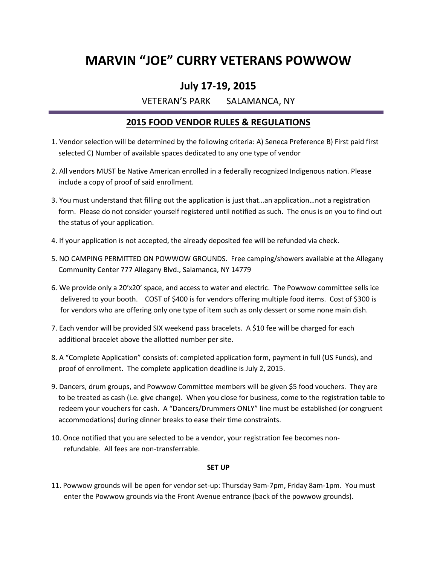### **MARVIN "JOE" CURRY VETERANS POWWOW**

### **July 17-19, 2015**

VETERAN'S PARK SALAMANCA, NY

### **2015 FOOD VENDOR RULES & REGULATIONS**

- 1. Vendor selection will be determined by the following criteria: A) Seneca Preference B) First paid first selected C) Number of available spaces dedicated to any one type of vendor
- 2. All vendors MUST be Native American enrolled in a federally recognized Indigenous nation. Please include a copy of proof of said enrollment.
- 3. You must understand that filling out the application is just that…an application…not a registration form. Please do not consider yourself registered until notified as such. The onus is on you to find out the status of your application.
- 4. If your application is not accepted, the already deposited fee will be refunded via check.
- 5. NO CAMPING PERMITTED ON POWWOW GROUNDS. Free camping/showers available at the Allegany Community Center 777 Allegany Blvd., Salamanca, NY 14779
- 6. We provide only a 20'x20' space, and access to water and electric. The Powwow committee sells ice delivered to your booth. COST of \$400 is for vendors offering multiple food items. Cost of \$300 is for vendors who are offering only one type of item such as only dessert or some none main dish.
- 7. Each vendor will be provided SIX weekend pass bracelets. A \$10 fee will be charged for each additional bracelet above the allotted number per site.
- 8. A "Complete Application" consists of: completed application form, payment in full (US Funds), and proof of enrollment. The complete application deadline is July 2, 2015.
- 9. Dancers, drum groups, and Powwow Committee members will be given \$5 food vouchers. They are to be treated as cash (i.e. give change). When you close for business, come to the registration table to redeem your vouchers for cash. A "Dancers/Drummers ONLY" line must be established (or congruent accommodations) during dinner breaks to ease their time constraints.
- 10. Once notified that you are selected to be a vendor, your registration fee becomes non refundable. All fees are non-transferrable.

#### **SET UP**

11. Powwow grounds will be open for vendor set-up: Thursday 9am-7pm, Friday 8am-1pm. You must enter the Powwow grounds via the Front Avenue entrance (back of the powwow grounds).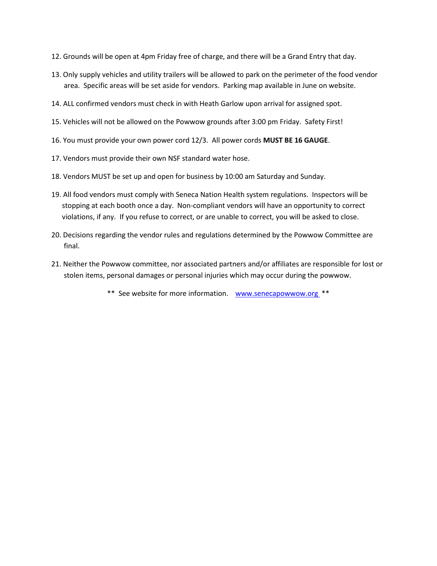- 12. Grounds will be open at 4pm Friday free of charge, and there will be a Grand Entry that day.
- 13. Only supply vehicles and utility trailers will be allowed to park on the perimeter of the food vendor area. Specific areas will be set aside for vendors. Parking map available in June on website.
- 14. ALL confirmed vendors must check in with Heath Garlow upon arrival for assigned spot.
- 15. Vehicles will not be allowed on the Powwow grounds after 3:00 pm Friday. Safety First!
- 16. You must provide your own power cord 12/3. All power cords **MUST BE 16 GAUGE**.
- 17. Vendors must provide their own NSF standard water hose.
- 18. Vendors MUST be set up and open for business by 10:00 am Saturday and Sunday.
- 19. All food vendors must comply with Seneca Nation Health system regulations. Inspectors will be stopping at each booth once a day. Non-compliant vendors will have an opportunity to correct violations, if any. If you refuse to correct, or are unable to correct, you will be asked to close.
- 20. Decisions regarding the vendor rules and regulations determined by the Powwow Committee are final.
- 21. Neither the Powwow committee, nor associated partners and/or affiliates are responsible for lost or stolen items, personal damages or personal injuries which may occur during the powwow.
	- \*\* See website for more information. www.senecapowwow.org \*\*